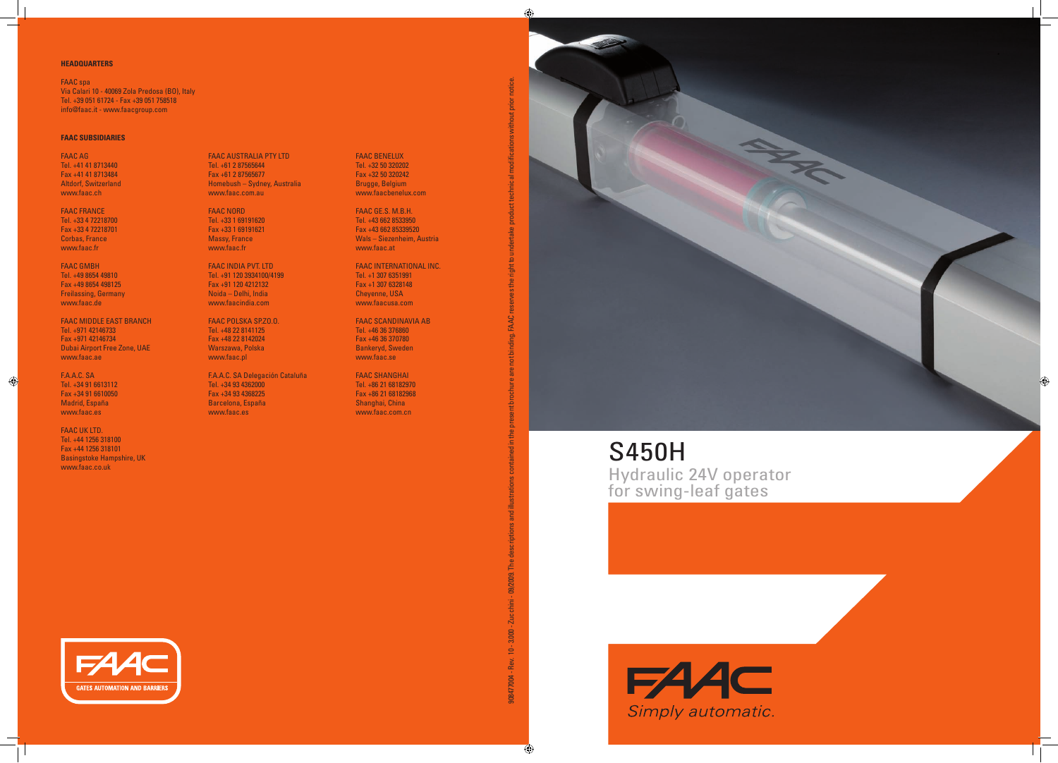S450H Hydraulic 24V operator for swing-leaf gates







### **FAAC SUBSIDIARIES**

FAAC AG Tel. +41 41 8713440 Fax +41 41 8713484 Altdorf, Switzerland www.faac.ch

FAAC FRANCE Tel. +33 4 72218700 Fax +33 4 72218701 Corbas, France www.faac.fr

FAAC GMBH Tel. +49 8654 49810 Fax +49 8654 498125 Freilassing, Germany www.faac.de

FAAC MIDDLE EAST BRANCH Tel. +971 42146733 Fax +971 42146734 Dubai Airport Free Zone, UAE www.faac.ae

F.A.A.C. SA Tel. +34 91 6613112 Fax +34 91 6610050 Madrid, España www.faac.es

FAAC UK LTD. Tel. +44 1256 318100 Fax +44 1256 318101 Basingstoke Hampshire, UK www.faac.co.uk

FAAC AUSTRALIA PTY LTD Tel. +61 2 87565644 Fax +61 2 87565677 Homebush – Sydney, Australia www.faac.com.au

FAAC NORD Tel. +33 1 69191620 Fax +33 1 69191621 Massy, France www.faac.fr

FAAC INDIA PVT. LTD Tel. +91 120 3934100/4199 Fax +91 120 4212132 Noida – Delhi, India www.faacindia.com

FAAC POLSKA SP.ZO.O. Tel. +48 22 8141125 Fax +48 22 8142024 Warszawa, Polska www.faac.pl

F.A.A.C. SA Delegación Cataluña Tel. +34 93 4362000 Fax +34 93 4368225 Barcelona, España www.faac.es

FAAC BENELUX Tel. +32 50 320202 Fax +32 50 320242 Brugge, Belgium www.faacbenelux.com

FAAC GE.S. M.B.H. Tel. +43 662 8533950 Fax +43 662 85339520 Wals – Siezenheim, Austria www.faac.at

FAAC INTERNATIONAL INC. Tel. +1 307 6351991 Fax +1 307 6328148 Cheyenne, USA www.faacusa.com

FAAC SCANDINAVIA AB Tel. +46 36 376860 Fax +46 36 370780 Bankeryd, Sweden www.faac.se

FAAC SHANGHAI Tel. +86 21 68182970 Fax +86 21 68182968 Shanghai, China www.faac.com.cn



908477004 - Rev. 10 - 2ucchini - 09/2009. The descriptions and illustrations contained in the present brochure are not binding. FAAC reserves the right to undertake product technical modifications without prior notice.

led in the present b

and illustrations

The descriptions

09/2009.

Zucchini-

 $10 - 3.000 -$ 

Rev.

908477004-

nding. FAAC

without prior notice.

product technical modifications

### **HEADQUARTERS**

FAAC spa Via Calari 10 - 40069 Zola Predosa (BO), Italy Tel. +39 051 61724 - Fax +39 051 758518 info@faac.it - www.faacgroup.com